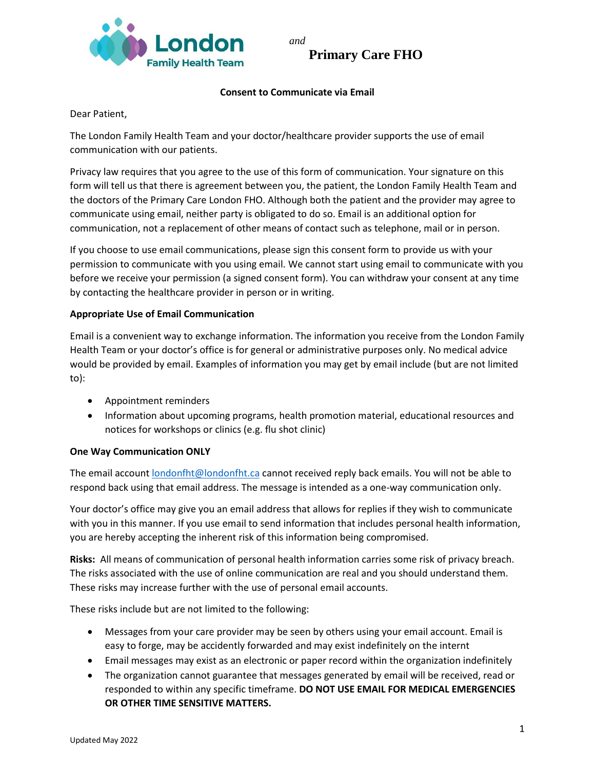

**Primary Care FHO**

## **Consent to Communicate via Email**

Dear Patient,

The London Family Health Team and your doctor/healthcare provider supports the use of email communication with our patients.

Privacy law requires that you agree to the use of this form of communication. Your signature on this form will tell us that there is agreement between you, the patient, the London Family Health Team and the doctors of the Primary Care London FHO. Although both the patient and the provider may agree to communicate using email, neither party is obligated to do so. Email is an additional option for communication, not a replacement of other means of contact such as telephone, mail or in person.

If you choose to use email communications, please sign this consent form to provide us with your permission to communicate with you using email. We cannot start using email to communicate with you before we receive your permission (a signed consent form). You can withdraw your consent at any time by contacting the healthcare provider in person or in writing.

#### **Appropriate Use of Email Communication**

Email is a convenient way to exchange information. The information you receive from the London Family Health Team or your doctor's office is for general or administrative purposes only. No medical advice would be provided by email. Examples of information you may get by email include (but are not limited to):

- Appointment reminders
- Information about upcoming programs, health promotion material, educational resources and notices for workshops or clinics (e.g. flu shot clinic)

## **One Way Communication ONLY**

The email account [londonfht@londonfht.ca](mailto:londonfht@londonfht.ca) cannot received reply back emails. You will not be able to respond back using that email address. The message is intended as a one-way communication only.

Your doctor's office may give you an email address that allows for replies if they wish to communicate with you in this manner. If you use email to send information that includes personal health information, you are hereby accepting the inherent risk of this information being compromised.

**Risks:** All means of communication of personal health information carries some risk of privacy breach. The risks associated with the use of online communication are real and you should understand them. These risks may increase further with the use of personal email accounts.

These risks include but are not limited to the following:

- Messages from your care provider may be seen by others using your email account. Email is easy to forge, may be accidently forwarded and may exist indefinitely on the internt
- Email messages may exist as an electronic or paper record within the organization indefinitely
- The organization cannot guarantee that messages generated by email will be received, read or responded to within any specific timeframe. **DO NOT USE EMAIL FOR MEDICAL EMERGENCIES OR OTHER TIME SENSITIVE MATTERS.**